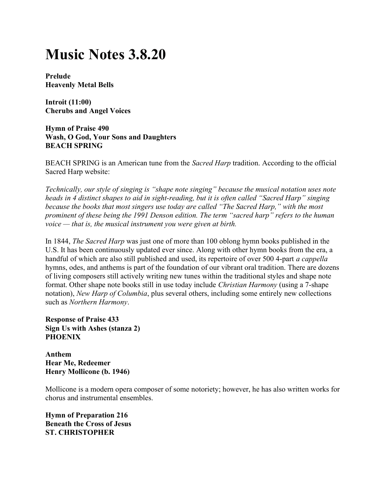## Music Notes 3.8.20

Prelude Heavenly Metal Bells

Introit (11:00) Cherubs and Angel Voices

Hymn of Praise 490 Wash, O God, Your Sons and Daughters BEACH SPRING

BEACH SPRING is an American tune from the *Sacred Harp* tradition. According to the official Sacred Harp website:

Technically, our style of singing is "shape note singing" because the musical notation uses note heads in 4 distinct shapes to aid in sight-reading, but it is often called "Sacred Harp" singing because the books that most singers use today are called "The Sacred Harp," with the most prominent of these being the 1991 Denson edition. The term "sacred harp" refers to the human voice — that is, the musical instrument you were given at birth.

In 1844, The Sacred Harp was just one of more than 100 oblong hymn books published in the U.S. It has been continuously updated ever since. Along with other hymn books from the era, a handful of which are also still published and used, its repertoire of over 500 4-part *a cappella* hymns, odes, and anthems is part of the foundation of our vibrant oral tradition. There are dozens of living composers still actively writing new tunes within the traditional styles and shape note format. Other shape note books still in use today include Christian Harmony (using a 7-shape notation), New Harp of Columbia, plus several others, including some entirely new collections such as Northern Harmony.

Response of Praise 433 Sign Us with Ashes (stanza 2) PHOENIX

Anthem Hear Me, Redeemer Henry Mollicone (b. 1946)

Mollicone is a modern opera composer of some notoriety; however, he has also written works for chorus and instrumental ensembles.

Hymn of Preparation 216 Beneath the Cross of Jesus ST. CHRISTOPHER